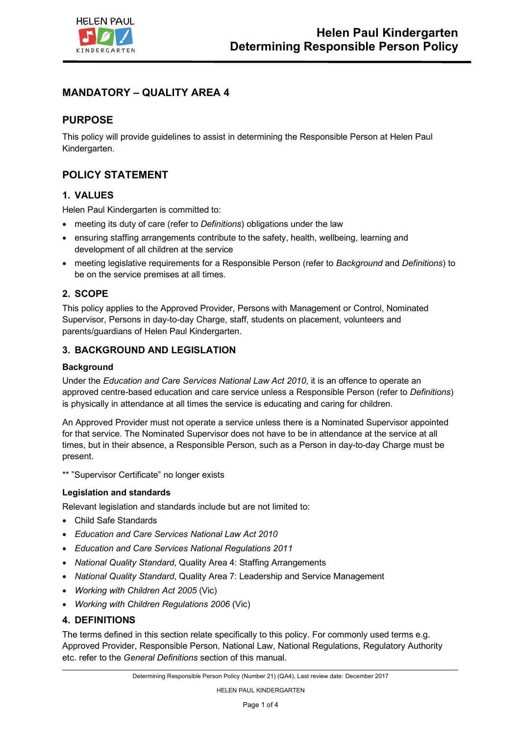

# **MANDATORY – QUALITY AREA 4**

# **PURPOSE**

This policy will provide guidelines to assist in determining the Responsible Person at Helen Paul Kindergarten.

# **POLICY STATEMENT**

### **1. VALUES**

Helen Paul Kindergarten is committed to:

- meeting its duty of care (refer to *Definitions*) obligations under the law
- ensuring staffing arrangements contribute to the safety, health, wellbeing, learning and development of all children at the service
- meeting legislative requirements for a Responsible Person (refer to *Background* and *Definitions*) to be on the service premises at all times.

### **2. SCOPE**

This policy applies to the Approved Provider, Persons with Management or Control, Nominated Supervisor, Persons in day-to-day Charge, staff, students on placement, volunteers and parents/guardians of Helen Paul Kindergarten.

### **3. BACKGROUND AND LEGISLATION**

#### **Background**

Under the *Education and Care Services National Law Act 2010*, it is an offence to operate an approved centre-based education and care service unless a Responsible Person (refer to *Definitions*) is physically in attendance at all times the service is educating and caring for children.

An Approved Provider must not operate a service unless there is a Nominated Supervisor appointed for that service. The Nominated Supervisor does not have to be in attendance at the service at all times, but in their absence, a Responsible Person, such as a Person in day-to-day Charge must be present.

\*\* "Supervisor Certificate" no longer exists

### **Legislation and standards**

Relevant legislation and standards include but are not limited to:

- Child Safe Standards
- *Education and Care Services National Law Act 2010*
- *Education and Care Services National Regulations 2011*
- *National Quality Standard*, Quality Area 4: Staffing Arrangements
- *National Quality Standard*, Quality Area 7: Leadership and Service Management
- *Working with Children Act 2005* (Vic)
- *Working with Children Regulations 2006* (Vic)

### **4. DEFINITIONS**

The terms defined in this section relate specifically to this policy. For commonly used terms e.g. Approved Provider, Responsible Person, National Law, National Regulations, Regulatory Authority etc. refer to the *General Definitions* section of this manual.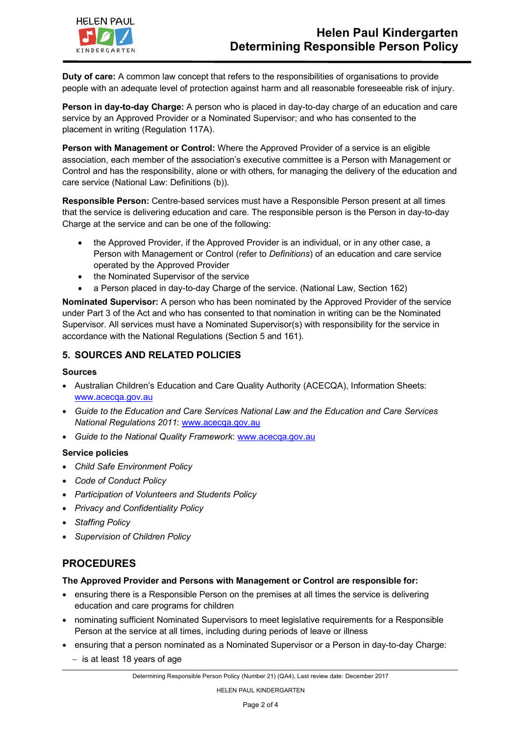

**Duty of care:** A common law concept that refers to the responsibilities of organisations to provide people with an adequate level of protection against harm and all reasonable foreseeable risk of injury.

**Person in day-to-day Charge:** A person who is placed in day-to-day charge of an education and care service by an Approved Provider or a Nominated Supervisor; and who has consented to the placement in writing (Regulation 117A).

**Person with Management or Control:** Where the Approved Provider of a service is an eligible association, each member of the association's executive committee is a Person with Management or Control and has the responsibility, alone or with others, for managing the delivery of the education and care service (National Law: Definitions (b)).

**Responsible Person:** Centre-based services must have a Responsible Person present at all times that the service is delivering education and care. The responsible person is the Person in day-to-day Charge at the service and can be one of the following:

- the Approved Provider, if the Approved Provider is an individual, or in any other case, a Person with Management or Control (refer to *Definitions*) of an education and care service operated by the Approved Provider
- the Nominated Supervisor of the service
- a Person placed in day-to-day Charge of the service. (National Law, Section 162)

**Nominated Supervisor:** A person who has been nominated by the Approved Provider of the service under Part 3 of the Act and who has consented to that nomination in writing can be the Nominated Supervisor. All services must have a Nominated Supervisor(s) with responsibility for the service in accordance with the National Regulations (Section 5 and 161).

### **5. SOURCES AND RELATED POLICIES**

#### **Sources**

- Australian Children's Education and Care Quality Authority (ACECQA), Information Sheets: www.acecqa.gov.au
- *Guide to the Education and Care Services National Law and the Education and Care Services National Regulations 2011*: www.acecqa.gov.au
- *Guide to the National Quality Framework*: www.acecqa.gov.au

### **Service policies**

- *Child Safe Environment Policy*
- *Code of Conduct Policy*
- *Participation of Volunteers and Students Policy*
- *Privacy and Confidentiality Policy*
- *Staffing Policy*
- *Supervision of Children Policy*

# **PROCEDURES**

#### **The Approved Provider and Persons with Management or Control are responsible for:**

- ensuring there is a Responsible Person on the premises at all times the service is delivering education and care programs for children
- nominating sufficient Nominated Supervisors to meet legislative requirements for a Responsible Person at the service at all times, including during periods of leave or illness
- ensuring that a person nominated as a Nominated Supervisor or a Person in day-to-day Charge:
	- $-$  is at least 18 years of age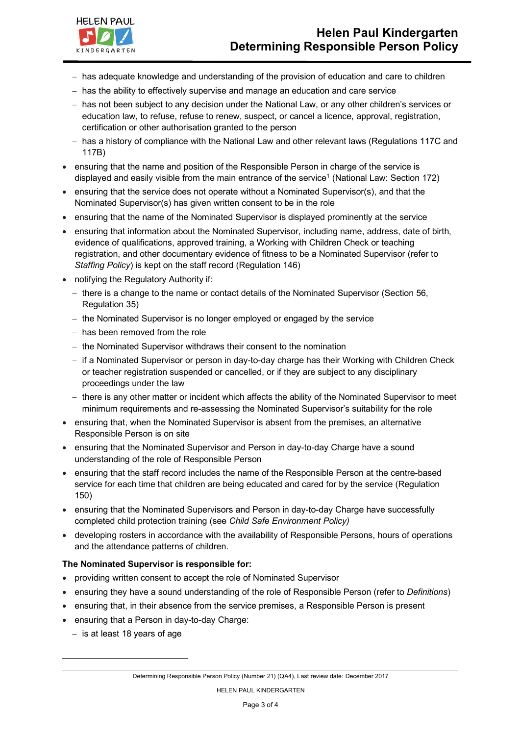- has adequate knowledge and understanding of the provision of education and care to children
- has the ability to effectively supervise and manage an education and care service
- has not been subject to any decision under the National Law, or any other children's services or education law, to refuse, refuse to renew, suspect, or cancel a licence, approval, registration, certification or other authorisation granted to the person
- has a history of compliance with the National Law and other relevant laws (Regulations 117C and 117B)
- ensuring that the name and position of the Responsible Person in charge of the service is displayed and easily visible from the main entrance of the service<sup>1</sup> (National Law: Section 172)
- ensuring that the service does not operate without a Nominated Supervisor(s), and that the Nominated Supervisor(s) has given written consent to be in the role
- ensuring that the name of the Nominated Supervisor is displayed prominently at the service
- ensuring that information about the Nominated Supervisor, including name, address, date of birth, evidence of qualifications, approved training, a Working with Children Check or teaching registration, and other documentary evidence of fitness to be a Nominated Supervisor (refer to *Staffing Policy*) is kept on the staff record (Regulation 146)
- notifying the Regulatory Authority if:
	- there is a change to the name or contact details of the Nominated Supervisor (Section 56, Regulation 35)
	- the Nominated Supervisor is no longer employed or engaged by the service
	- has been removed from the role
	- the Nominated Supervisor withdraws their consent to the nomination
	- if a Nominated Supervisor or person in day-to-day charge has their Working with Children Check or teacher registration suspended or cancelled, or if they are subject to any disciplinary proceedings under the law
	- there is any other matter or incident which affects the ability of the Nominated Supervisor to meet minimum requirements and re-assessing the Nominated Supervisor's suitability for the role
- ensuring that, when the Nominated Supervisor is absent from the premises, an alternative Responsible Person is on site
- ensuring that the Nominated Supervisor and Person in day-to-day Charge have a sound understanding of the role of Responsible Person
- ensuring that the staff record includes the name of the Responsible Person at the centre-based service for each time that children are being educated and cared for by the service (Regulation 150)
- ensuring that the Nominated Supervisors and Person in day-to-day Charge have successfully completed child protection training (see *Child Safe Environment Policy)*
- developing rosters in accordance with the availability of Responsible Persons, hours of operations and the attendance patterns of children.

#### **The Nominated Supervisor is responsible for:**

- providing written consent to accept the role of Nominated Supervisor
- ensuring they have a sound understanding of the role of Responsible Person (refer to *Definitions*)
- ensuring that, in their absence from the service premises, a Responsible Person is present
- ensuring that a Person in day-to-day Charge:
	- $-$  is at least 18 years of age

l